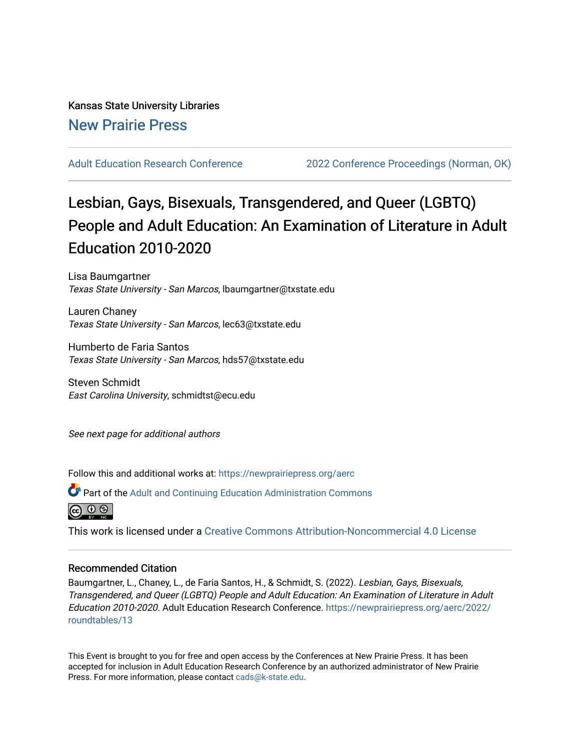## Kansas State University Libraries [New Prairie Press](https://newprairiepress.org/)

[Adult Education Research Conference](https://newprairiepress.org/aerc) [2022 Conference Proceedings \(Norman, OK\)](https://newprairiepress.org/aerc/2022) 

# Lesbian, Gays, Bisexuals, Transgendered, and Queer (LGBTQ) People and Adult Education: An Examination of Literature in Adult Education 2010-2020

Lisa Baumgartner Texas State University - San Marcos, lbaumgartner@txstate.edu

Lauren Chaney Texas State University - San Marcos, lec63@txstate.edu

Humberto de Faria Santos Texas State University - San Marcos, hds57@txstate.edu

Steven Schmidt East Carolina University, schmidtst@ecu.edu

See next page for additional authors

Follow this and additional works at: [https://newprairiepress.org/aerc](https://newprairiepress.org/aerc?utm_source=newprairiepress.org%2Faerc%2F2022%2Froundtables%2F13&utm_medium=PDF&utm_campaign=PDFCoverPages)

Part of the [Adult and Continuing Education Administration Commons](https://network.bepress.com/hgg/discipline/789?utm_source=newprairiepress.org%2Faerc%2F2022%2Froundtables%2F13&utm_medium=PDF&utm_campaign=PDFCoverPages)



This work is licensed under a [Creative Commons Attribution-Noncommercial 4.0 License](https://creativecommons.org/licenses/by-nc/4.0/)

#### Recommended Citation

Baumgartner, L., Chaney, L., de Faria Santos, H., & Schmidt, S. (2022). Lesbian, Gays, Bisexuals, Transgendered, and Queer (LGBTQ) People and Adult Education: An Examination of Literature in Adult Education 2010-2020. Adult Education Research Conference. [https://newprairiepress.org/aerc/2022/](https://newprairiepress.org/aerc/2022/roundtables/13) [roundtables/13](https://newprairiepress.org/aerc/2022/roundtables/13)

This Event is brought to you for free and open access by the Conferences at New Prairie Press. It has been accepted for inclusion in Adult Education Research Conference by an authorized administrator of New Prairie Press. For more information, please contact [cads@k-state.edu.](mailto:cads@k-state.edu)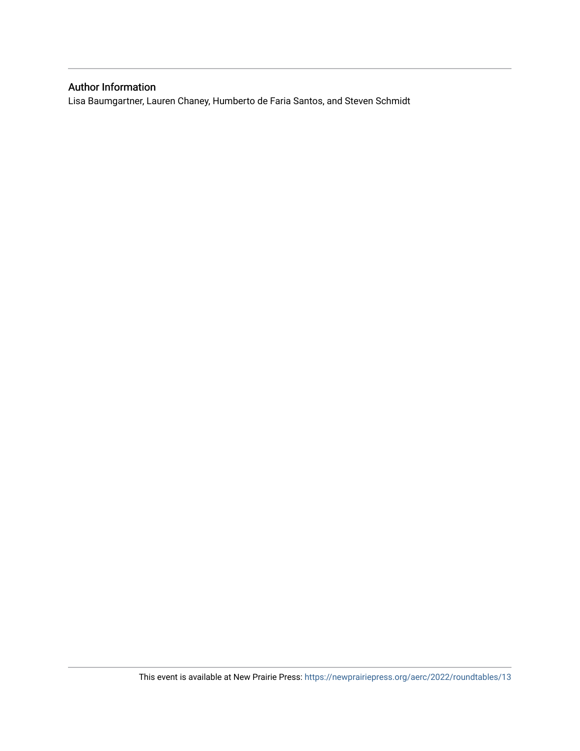### Author Information

Lisa Baumgartner, Lauren Chaney, Humberto de Faria Santos, and Steven Schmidt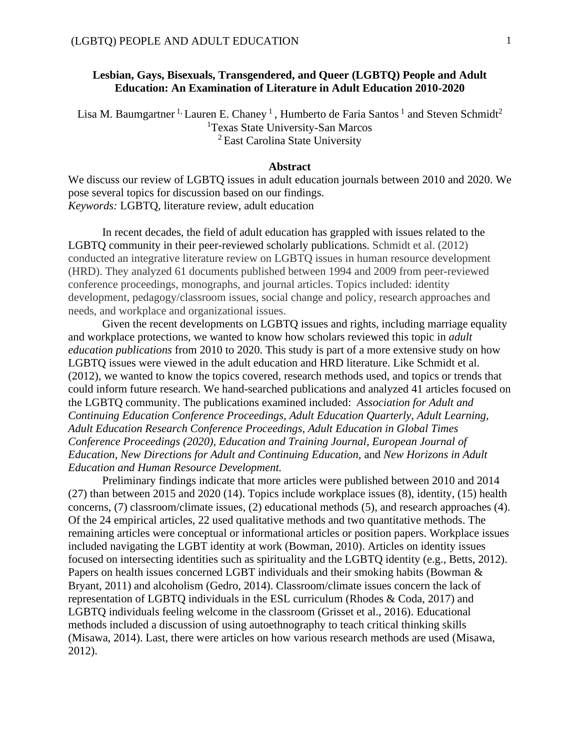### **Lesbian, Gays, Bisexuals, Transgendered, and Queer (LGBTQ) People and Adult Education: An Examination of Literature in Adult Education 2010-2020**

Lisa M. Baumgartner <sup>1,</sup> Lauren E. Chaney <sup>1</sup>, Humberto de Faria Santos <sup>1</sup> and Steven Schmidt<sup>2</sup> <sup>1</sup>Texas State University-San Marcos  $2$  East Carolina State University

#### **Abstract**

We discuss our review of LGBTQ issues in adult education journals between 2010 and 2020. We pose several topics for discussion based on our findings. *Keywords:* LGBTQ, literature review, adult education

In recent decades, the field of adult education has grappled with issues related to the LGBTQ community in their peer-reviewed scholarly publications. Schmidt et al. (2012) conducted an integrative literature review on LGBTQ issues in human resource development (HRD). They analyzed 61 documents published between 1994 and 2009 from peer-reviewed conference proceedings, monographs, and journal articles. Topics included: identity development, pedagogy/classroom issues, social change and policy, research approaches and needs, and workplace and organizational issues.

Given the recent developments on LGBTQ issues and rights, including marriage equality and workplace protections, we wanted to know how scholars reviewed this topic in *adult education publications* from 2010 to 2020. This study is part of a more extensive study on how LGBTQ issues were viewed in the adult education and HRD literature. Like Schmidt et al. (2012), we wanted to know the topics covered, research methods used, and topics or trends that could inform future research. We hand-searched publications and analyzed 41 articles focused on the LGBTQ community. The publications examined included: *Association for Adult and Continuing Education Conference Proceedings, Adult Education Quarterly, Adult Learning, Adult Education Research Conference Proceedings, Adult Education in Global Times Conference Proceedings (2020), Education and Training Journal, European Journal of Education, New Directions for Adult and Continuing Education,* and *New Horizons in Adult Education and Human Resource Development.* 

Preliminary findings indicate that more articles were published between 2010 and 2014 (27) than between 2015 and 2020 (14). Topics include workplace issues (8), identity, (15) health concerns, (7) classroom/climate issues, (2) educational methods (5), and research approaches (4). Of the 24 empirical articles, 22 used qualitative methods and two quantitative methods. The remaining articles were conceptual or informational articles or position papers. Workplace issues included navigating the LGBT identity at work (Bowman, 2010). Articles on identity issues focused on intersecting identities such as spirituality and the LGBTQ identity (e.g., Betts, 2012). Papers on health issues concerned LGBT individuals and their smoking habits (Bowman & Bryant, 2011) and alcoholism (Gedro, 2014). Classroom/climate issues concern the lack of representation of LGBTQ individuals in the ESL curriculum (Rhodes & Coda, 2017) and LGBTQ individuals feeling welcome in the classroom (Grisset et al., 2016). Educational methods included a discussion of using autoethnography to teach critical thinking skills (Misawa, 2014). Last, there were articles on how various research methods are used (Misawa, 2012).